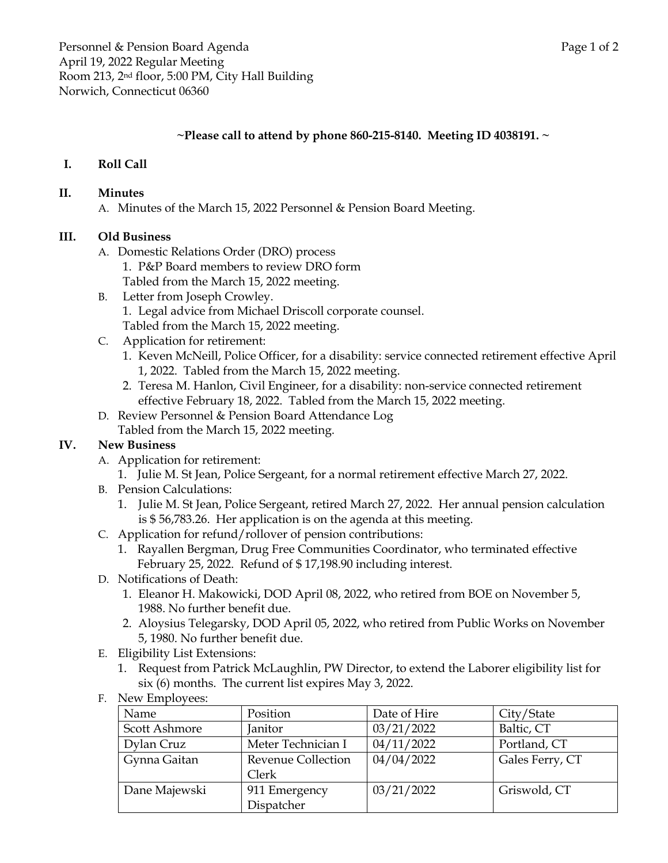### **~Please call to attend by phone 860-215-8140. Meeting ID 4038191. ~**

# **I. Roll Call**

#### **II. Minutes**

A. Minutes of the March 15, 2022 Personnel & Pension Board Meeting.

### **III. Old Business**

- A. Domestic Relations Order (DRO) process
	- 1. P&P Board members to review DRO form
	- Tabled from the March 15, 2022 meeting.
- B. Letter from Joseph Crowley. 1. Legal advice from Michael Driscoll corporate counsel. Tabled from the March 15, 2022 meeting.
- C. Application for retirement:
	- 1. Keven McNeill, Police Officer, for a disability: service connected retirement effective April 1, 2022. Tabled from the March 15, 2022 meeting.
	- 2. Teresa M. Hanlon, Civil Engineer, for a disability: non-service connected retirement effective February 18, 2022. Tabled from the March 15, 2022 meeting.
- D. Review Personnel & Pension Board Attendance Log
	- Tabled from the March 15, 2022 meeting.

# **IV. New Business**

- A. Application for retirement:
	- 1. Julie M. St Jean, Police Sergeant, for a normal retirement effective March 27, 2022.
- B. Pension Calculations:
	- 1. Julie M. St Jean, Police Sergeant, retired March 27, 2022. Her annual pension calculation is \$ 56,783.26. Her application is on the agenda at this meeting.
- C. Application for refund/rollover of pension contributions:
	- 1. Rayallen Bergman, Drug Free Communities Coordinator, who terminated effective February 25, 2022. Refund of \$ 17,198.90 including interest.
- D. Notifications of Death:
	- 1. Eleanor H. Makowicki, DOD April 08, 2022, who retired from BOE on November 5, 1988. No further benefit due.
	- 2. Aloysius Telegarsky, DOD April 05, 2022, who retired from Public Works on November 5, 1980. No further benefit due.
- E. Eligibility List Extensions:
	- 1. Request from Patrick McLaughlin, PW Director, to extend the Laborer eligibility list for six (6) months. The current list expires May 3, 2022.
- F. New Employees:

| Name          | Position                  | Date of Hire | City/State      |
|---------------|---------------------------|--------------|-----------------|
| Scott Ashmore | Janitor                   | 03/21/2022   | Baltic, CT      |
| Dylan Cruz    | Meter Technician I        | 04/11/2022   | Portland, CT    |
| Gynna Gaitan  | <b>Revenue Collection</b> | 04/04/2022   | Gales Ferry, CT |
|               | Clerk                     |              |                 |
| Dane Majewski | 911 Emergency             | 03/21/2022   | Griswold, CT    |
|               | Dispatcher                |              |                 |